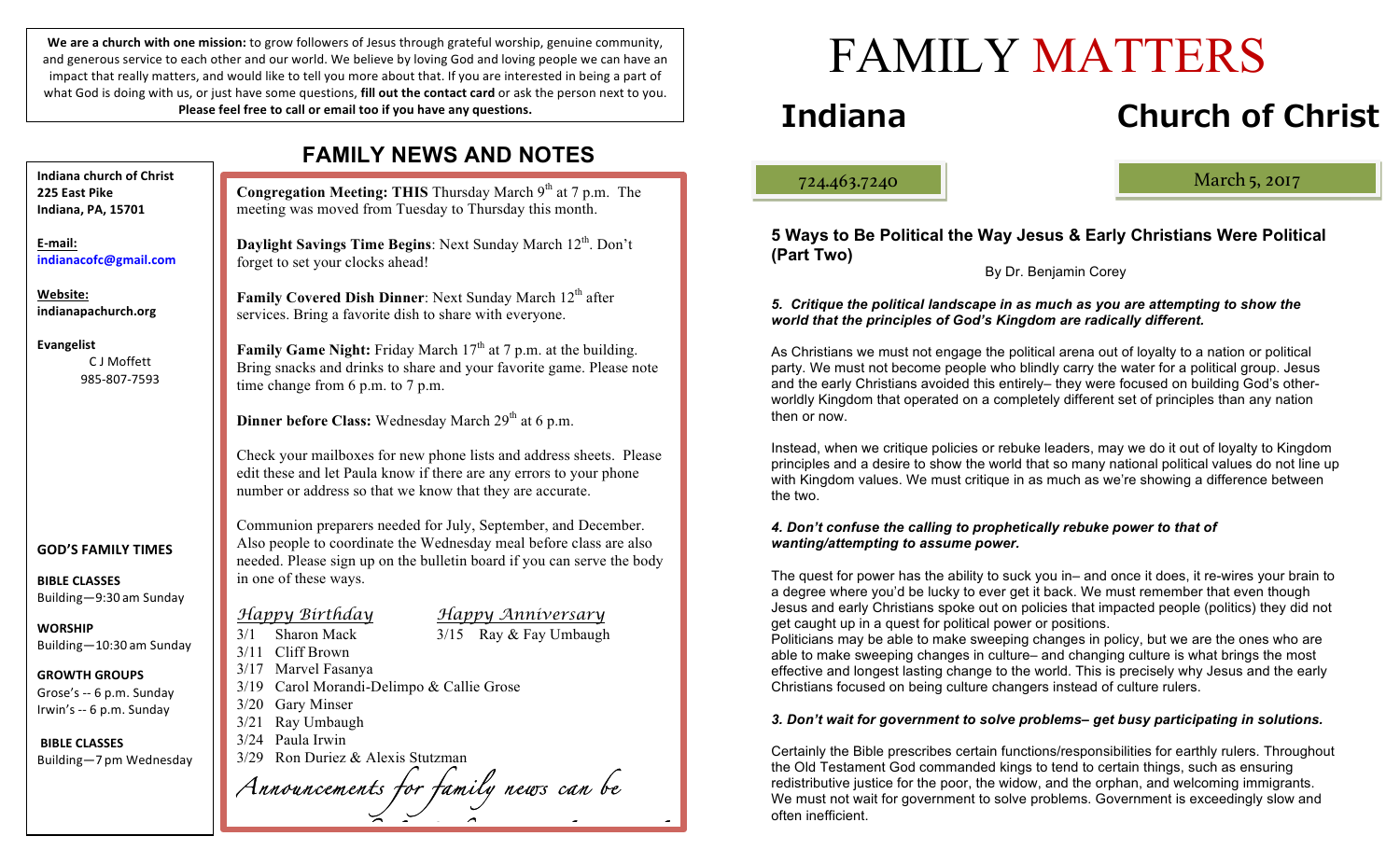We are a church with one mission: to grow followers of Jesus through grateful worship, genuine community, and generous service to each other and our world. We believe by loving God and loving people we can have an impact that really matters, and would like to tell you more about that. If you are interested in being a part of what God is doing with us, or just have some questions, **fill out the contact card** or ask the person next to you. **Please feel free to call or email too if you have any questions.** 

| <b>FAMILY NEWS AND NOTES</b>                                                                                                    |                                                                                                                                                                                                               |
|---------------------------------------------------------------------------------------------------------------------------------|---------------------------------------------------------------------------------------------------------------------------------------------------------------------------------------------------------------|
| <b>Indiana church of Christ</b><br>225 East Pike<br>Indiana, PA, 15701                                                          | Congregation Meeting: THIS Thursday March 9th at 7 p.m. The<br>meeting was moved from Tuesday to Thursday this month.                                                                                         |
| E-mail:<br>indianacofc@gmail.com                                                                                                | Daylight Savings Time Begins: Next Sunday March 12th. Don't<br>forget to set your clocks ahead!                                                                                                               |
| Website:<br>indianapachurch.org                                                                                                 | Family Covered Dish Dinner: Next Sunday March 12th after<br>services. Bring a favorite dish to share with everyone.                                                                                           |
| <b>Evangelist</b><br>C J Moffett<br>985-807-7593                                                                                | Family Game Night: Friday March $17th$ at 7 p.m. at the building.<br>Bring snacks and drinks to share and your favorite game. Please note<br>time change from 6 p.m. to 7 p.m.                                |
|                                                                                                                                 | Dinner before Class: Wednesday March 29 <sup>th</sup> at 6 p.m.                                                                                                                                               |
|                                                                                                                                 | Check your mailboxes for new phone lists and address sheets. Please<br>edit these and let Paula know if there are any errors to your phone<br>number or address so that we know that they are accurate.       |
| <b>GOD'S FAMILY TIMES</b>                                                                                                       | Communion preparers needed for July, September, and December.<br>Also people to coordinate the Wednesday meal before class are also<br>needed. Please sign up on the bulletin board if you can serve the body |
| <b>BIBLE CLASSES</b><br>Building-9:30 am Sunday                                                                                 | in one of these ways.                                                                                                                                                                                         |
| <b>WORSHIP</b><br>Building-10:30 am Sunday                                                                                      | Happy Birthday<br>Happy Anniversary<br><b>Sharon Mack</b><br>3/15 Ray & Fay Umbaugh<br>3/1<br>3/11 Cliff Brown                                                                                                |
| <b>GROWTH GROUPS</b><br>Grose's -- 6 p.m. Sunday<br>Irwin's -- 6 p.m. Sunday<br><b>BIBLE CLASSES</b><br>Building-7 pm Wednesday | 3/17 Marvel Fasanya<br>3/19 Carol Morandi-Delimpo & Callie Grose<br>3/20 Gary Minser<br>3/21 Ray Umbaugh                                                                                                      |
|                                                                                                                                 | 3/24 Paula Irwin<br>3/29 Ron Duriez & Alexis Stutzman                                                                                                                                                         |
|                                                                                                                                 | Announcements for family news can be                                                                                                                                                                          |
|                                                                                                                                 |                                                                                                                                                                                                               |

# **Indiana Church of Christ**

ļ

724.463.7240 March 5, 2017

#### **5 Ways to Be Political the Way Jesus & Early Christians Were Political (Part Two)**

FAMILY MATTERS

By Dr. Benjamin Corey

*5. Critique the political landscape in as much as you are attempting to show the world that the principles of God's Kingdom are radically different.*

As Christians we must not engage the political arena out of loyalty to a nation or political party. We must not become people who blindly carry the water for a political group. Jesus and the early Christians avoided this entirely– they were focused on building God's otherworldly Kingdom that operated on a completely different set of principles than any nation then or now.

Instead, when we critique policies or rebuke leaders, may we do it out of loyalty to Kingdom principles and a desire to show the world that so many national political values do not line up with Kingdom values. We must critique in as much as we're showing a difference between the two.

#### *4. Don't confuse the calling to prophetically rebuke power to that of wanting/attempting to assume power.*

The quest for power has the ability to suck you in– and once it does, it re-wires your brain to a degree where you'd be lucky to ever get it back. We must remember that even though Jesus and early Christians spoke out on policies that impacted people (politics) they did not get caught up in a quest for political power or positions.

Politicians may be able to make sweeping changes in policy, but we are the ones who are able to make sweeping changes in culture– and changing culture is what brings the most effective and longest lasting change to the world. This is precisely why Jesus and the early Christians focused on being culture changers instead of culture rulers.

#### *3. Don't wait for government to solve problems– get busy participating in solutions.*

Certainly the Bible prescribes certain functions/responsibilities for earthly rulers. Throughout the Old Testament God commanded kings to tend to certain things, such as ensuring redistributive justice for the poor, the widow, and the orphan, and welcoming immigrants. We must not wait for government to solve problems. Government is exceedingly slow and often inefficient.